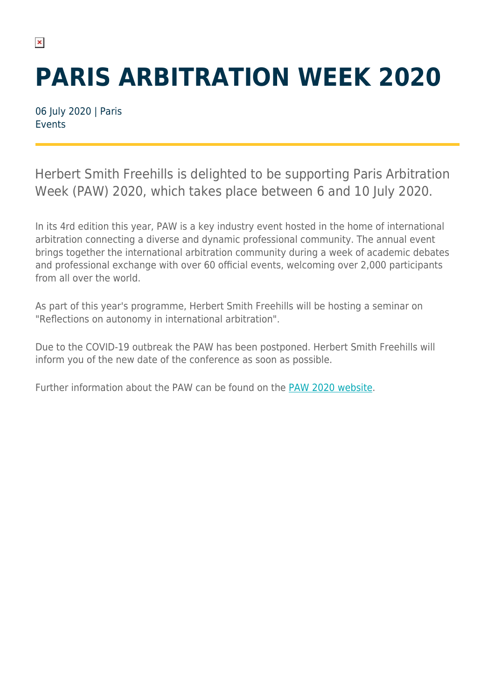## **PARIS ARBITRATION WEEK 2020**

06 July 2020 | Paris Events

 $\pmb{\times}$ 

Herbert Smith Freehills is delighted to be supporting Paris Arbitration Week (PAW) 2020, which takes place between 6 and 10 July 2020.

In its 4rd edition this year, PAW is a key industry event hosted in the home of international arbitration connecting a diverse and dynamic professional community. The annual event brings together the international arbitration community during a week of academic debates and professional exchange with over 60 official events, welcoming over 2,000 participants from all over the world.

As part of this year's programme, Herbert Smith Freehills will be hosting a seminar on "Reflections on autonomy in international arbitration".

Due to the COVID-19 outbreak the PAW has been postponed. Herbert Smith Freehills will inform you of the new date of the conference as soon as possible.

Further information about the PAW can be found on the [PAW 2020 website](https://parisarbitrationweek.com/).